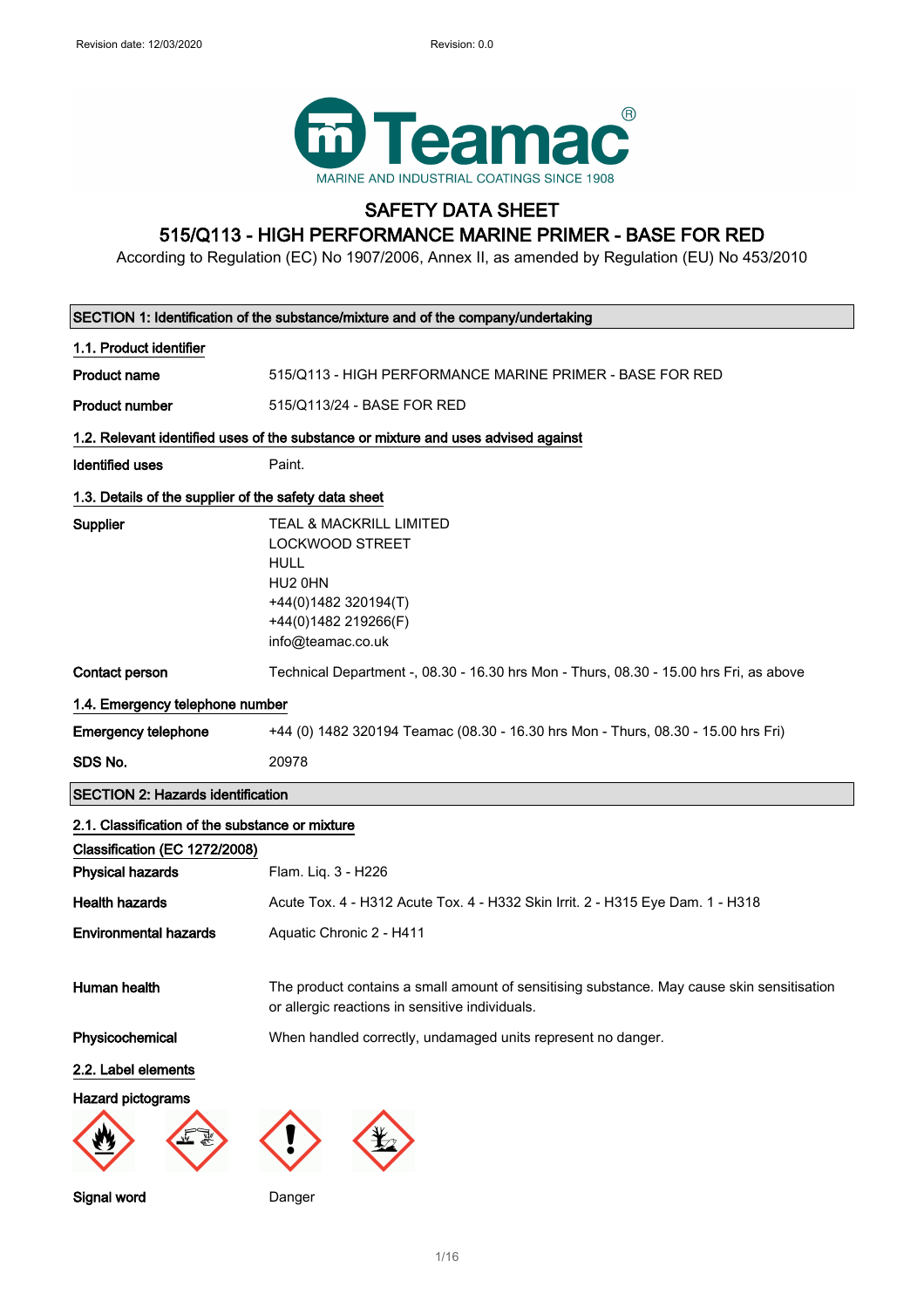

## SAFETY DATA SHEET 515/Q113 - HIGH PERFORMANCE MARINE PRIMER - BASE FOR RED

According to Regulation (EC) No 1907/2006, Annex II, as amended by Regulation (EU) No 453/2010

| SECTION 1: Identification of the substance/mixture and of the company/undertaking |                                                                                                                                                      |  |
|-----------------------------------------------------------------------------------|------------------------------------------------------------------------------------------------------------------------------------------------------|--|
| 1.1. Product identifier                                                           |                                                                                                                                                      |  |
| <b>Product name</b>                                                               | 515/Q113 - HIGH PERFORMANCE MARINE PRIMER - BASE FOR RED                                                                                             |  |
| <b>Product number</b>                                                             | 515/Q113/24 - BASE FOR RED                                                                                                                           |  |
|                                                                                   | 1.2. Relevant identified uses of the substance or mixture and uses advised against                                                                   |  |
| <b>Identified uses</b>                                                            | Paint.                                                                                                                                               |  |
| 1.3. Details of the supplier of the safety data sheet                             |                                                                                                                                                      |  |
| Supplier                                                                          | <b>TEAL &amp; MACKRILL LIMITED</b><br><b>LOCKWOOD STREET</b><br>HULL<br>HU2 0HN<br>+44(0)1482 320194(T)<br>+44(0)1482 219266(F)<br>info@teamac.co.uk |  |
| Contact person                                                                    | Technical Department -, 08.30 - 16.30 hrs Mon - Thurs, 08.30 - 15.00 hrs Fri, as above                                                               |  |
| 1.4. Emergency telephone number                                                   |                                                                                                                                                      |  |
| <b>Emergency telephone</b>                                                        | +44 (0) 1482 320194 Teamac (08.30 - 16.30 hrs Mon - Thurs, 08.30 - 15.00 hrs Fri)                                                                    |  |
| SDS No.                                                                           | 20978                                                                                                                                                |  |
| <b>SECTION 2: Hazards identification</b>                                          |                                                                                                                                                      |  |
| 2.1. Classification of the substance or mixture                                   |                                                                                                                                                      |  |
| Classification (EC 1272/2008)                                                     |                                                                                                                                                      |  |
| <b>Physical hazards</b>                                                           | Flam. Liq. 3 - H226                                                                                                                                  |  |
| <b>Health hazards</b>                                                             | Acute Tox. 4 - H312 Acute Tox. 4 - H332 Skin Irrit. 2 - H315 Eye Dam. 1 - H318                                                                       |  |
| <b>Environmental hazards</b>                                                      | Aquatic Chronic 2 - H411                                                                                                                             |  |
| Human health                                                                      | The product contains a small amount of sensitising substance. May cause skin sensitisation<br>or allergic reactions in sensitive individuals.        |  |
| Physicochemical                                                                   | When handled correctly, undamaged units represent no danger.                                                                                         |  |
| 2.2. Label elements                                                               |                                                                                                                                                      |  |
| Hazard pictograms                                                                 |                                                                                                                                                      |  |
|                                                                                   |                                                                                                                                                      |  |
| Signal word                                                                       | Danger                                                                                                                                               |  |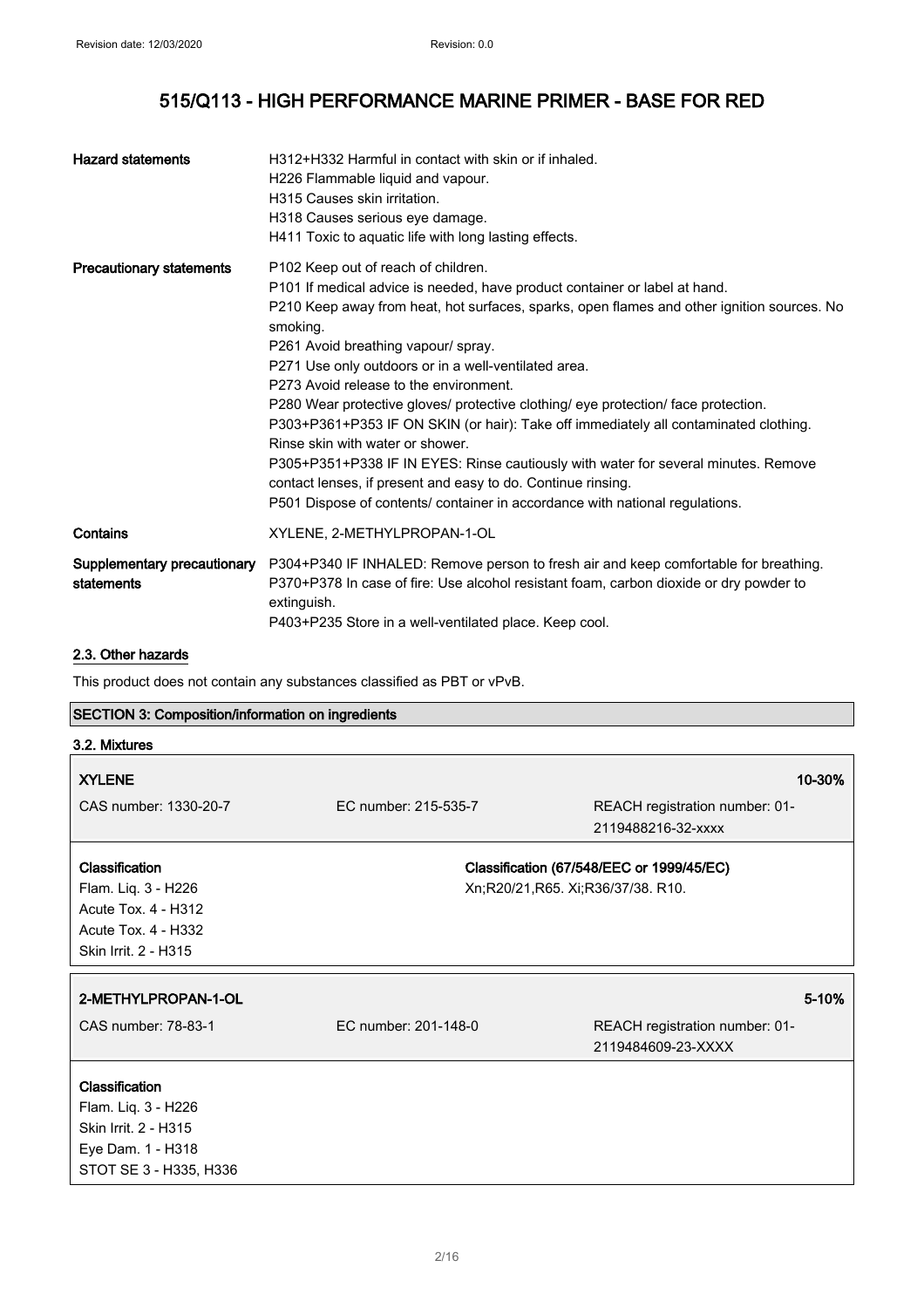| <b>Hazard statements</b>                  | H312+H332 Harmful in contact with skin or if inhaled.<br>H226 Flammable liquid and vapour.<br>H315 Causes skin irritation.<br>H318 Causes serious eye damage.<br>H411 Toxic to aquatic life with long lasting effects.                                                                                                                                                                                                                                                                                                                                                                                                                                                                                                                                                                                                       |
|-------------------------------------------|------------------------------------------------------------------------------------------------------------------------------------------------------------------------------------------------------------------------------------------------------------------------------------------------------------------------------------------------------------------------------------------------------------------------------------------------------------------------------------------------------------------------------------------------------------------------------------------------------------------------------------------------------------------------------------------------------------------------------------------------------------------------------------------------------------------------------|
| <b>Precautionary statements</b>           | P102 Keep out of reach of children.<br>P101 If medical advice is needed, have product container or label at hand.<br>P210 Keep away from heat, hot surfaces, sparks, open flames and other ignition sources. No<br>smoking.<br>P261 Avoid breathing vapour/ spray.<br>P271 Use only outdoors or in a well-ventilated area.<br>P273 Avoid release to the environment.<br>P280 Wear protective gloves/ protective clothing/ eye protection/ face protection.<br>P303+P361+P353 IF ON SKIN (or hair): Take off immediately all contaminated clothing.<br>Rinse skin with water or shower.<br>P305+P351+P338 IF IN EYES: Rinse cautiously with water for several minutes. Remove<br>contact lenses, if present and easy to do. Continue rinsing.<br>P501 Dispose of contents/ container in accordance with national regulations. |
| Contains                                  | XYLENE, 2-METHYLPROPAN-1-OL                                                                                                                                                                                                                                                                                                                                                                                                                                                                                                                                                                                                                                                                                                                                                                                                  |
| Supplementary precautionary<br>statements | P304+P340 IF INHALED: Remove person to fresh air and keep comfortable for breathing.<br>P370+P378 In case of fire: Use alcohol resistant foam, carbon dioxide or dry powder to<br>extinguish.<br>P403+P235 Store in a well-ventilated place. Keep cool.                                                                                                                                                                                                                                                                                                                                                                                                                                                                                                                                                                      |

### 2.3. Other hazards

This product does not contain any substances classified as PBT or vPvB.

## SECTION 3: Composition/information on ingredients

| 3.2. Mixtures                                                                                                             |                                   |                                                      |
|---------------------------------------------------------------------------------------------------------------------------|-----------------------------------|------------------------------------------------------|
| <b>XYLENE</b>                                                                                                             |                                   | 10-30%                                               |
| CAS number: 1330-20-7                                                                                                     | EC number: 215-535-7              | REACH registration number: 01-<br>2119488216-32-xxxx |
| <b>Classification</b><br>Flam. Liq. 3 - H226<br>Acute Tox. 4 - H312<br><b>Acute Tox. 4 - H332</b><br>Skin Irrit. 2 - H315 | Xn;R20/21,R65. Xi;R36/37/38. R10. | Classification (67/548/EEC or 1999/45/EC)            |
| 2-METHYLPROPAN-1-OL                                                                                                       |                                   | 5-10%                                                |
| CAS number: 78-83-1                                                                                                       | EC number: 201-148-0              | REACH registration number: 01-<br>2119484609-23-XXXX |
| <b>Classification</b><br>Flam. Liq. 3 - H226<br>Skin Irrit. 2 - H315<br>Eye Dam. 1 - H318<br>STOT SE 3 - H335, H336       |                                   |                                                      |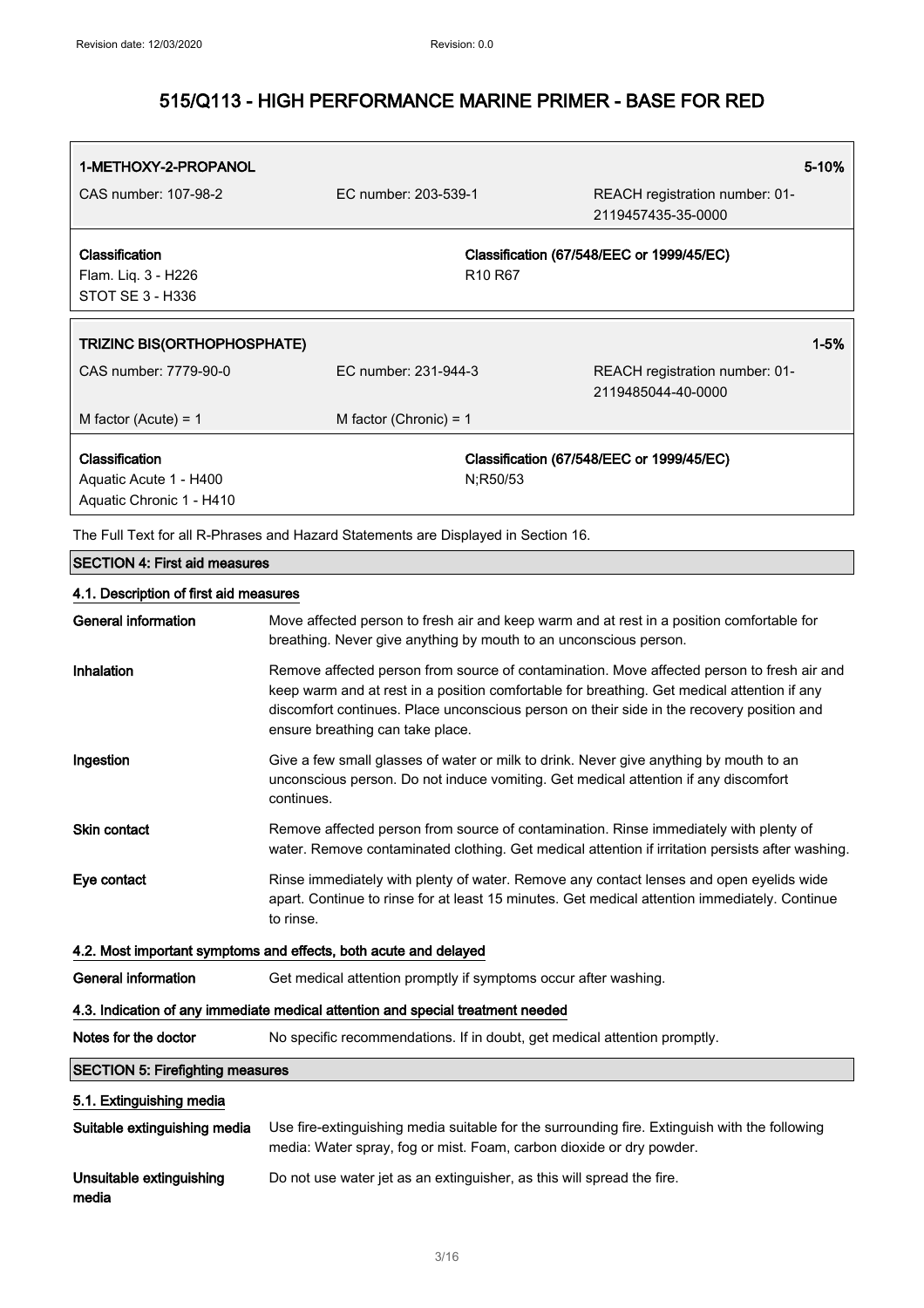| 1-METHOXY-2-PROPANOL                    |                                                                                                                                                                                                                                                                                                                            |                                 | 5-10%                                                                                         |
|-----------------------------------------|----------------------------------------------------------------------------------------------------------------------------------------------------------------------------------------------------------------------------------------------------------------------------------------------------------------------------|---------------------------------|-----------------------------------------------------------------------------------------------|
| CAS number: 107-98-2                    | EC number: 203-539-1                                                                                                                                                                                                                                                                                                       |                                 | REACH registration number: 01-<br>2119457435-35-0000                                          |
| Classification                          |                                                                                                                                                                                                                                                                                                                            |                                 | Classification (67/548/EEC or 1999/45/EC)                                                     |
| Flam. Liq. 3 - H226                     |                                                                                                                                                                                                                                                                                                                            | R <sub>10</sub> R <sub>67</sub> |                                                                                               |
| <b>STOT SE 3 - H336</b>                 |                                                                                                                                                                                                                                                                                                                            |                                 |                                                                                               |
| <b>TRIZINC BIS(ORTHOPHOSPHATE)</b>      |                                                                                                                                                                                                                                                                                                                            |                                 | $1 - 5%$                                                                                      |
|                                         |                                                                                                                                                                                                                                                                                                                            |                                 |                                                                                               |
| CAS number: 7779-90-0                   | EC number: 231-944-3                                                                                                                                                                                                                                                                                                       |                                 | REACH registration number: 01-<br>2119485044-40-0000                                          |
| M factor (Acute) = $1$                  | M factor (Chronic) = $1$                                                                                                                                                                                                                                                                                                   |                                 |                                                                                               |
| Classification                          |                                                                                                                                                                                                                                                                                                                            |                                 | Classification (67/548/EEC or 1999/45/EC)                                                     |
| Aquatic Acute 1 - H400                  |                                                                                                                                                                                                                                                                                                                            | N:R50/53                        |                                                                                               |
| Aquatic Chronic 1 - H410                |                                                                                                                                                                                                                                                                                                                            |                                 |                                                                                               |
|                                         | The Full Text for all R-Phrases and Hazard Statements are Displayed in Section 16.                                                                                                                                                                                                                                         |                                 |                                                                                               |
| <b>SECTION 4: First aid measures</b>    |                                                                                                                                                                                                                                                                                                                            |                                 |                                                                                               |
| 4.1. Description of first aid measures  |                                                                                                                                                                                                                                                                                                                            |                                 |                                                                                               |
| <b>General information</b>              | Move affected person to fresh air and keep warm and at rest in a position comfortable for<br>breathing. Never give anything by mouth to an unconscious person.                                                                                                                                                             |                                 |                                                                                               |
| Inhalation                              | Remove affected person from source of contamination. Move affected person to fresh air and<br>keep warm and at rest in a position comfortable for breathing. Get medical attention if any<br>discomfort continues. Place unconscious person on their side in the recovery position and<br>ensure breathing can take place. |                                 |                                                                                               |
| Ingestion                               | Give a few small glasses of water or milk to drink. Never give anything by mouth to an<br>unconscious person. Do not induce vomiting. Get medical attention if any discomfort<br>continues.                                                                                                                                |                                 |                                                                                               |
| Skin contact                            | Remove affected person from source of contamination. Rinse immediately with plenty of<br>water. Remove contaminated clothing. Get medical attention if irritation persists after washing.                                                                                                                                  |                                 |                                                                                               |
| Eye contact                             | Rinse immediately with plenty of water. Remove any contact lenses and open eyelids wide<br>apart. Continue to rinse for at least 15 minutes. Get medical attention immediately. Continue<br>to rinse.                                                                                                                      |                                 |                                                                                               |
|                                         | 4.2. Most important symptoms and effects, both acute and delayed                                                                                                                                                                                                                                                           |                                 |                                                                                               |
| <b>General information</b>              | Get medical attention promptly if symptoms occur after washing.                                                                                                                                                                                                                                                            |                                 |                                                                                               |
|                                         | 4.3. Indication of any immediate medical attention and special treatment needed                                                                                                                                                                                                                                            |                                 |                                                                                               |
| Notes for the doctor                    | No specific recommendations. If in doubt, get medical attention promptly.                                                                                                                                                                                                                                                  |                                 |                                                                                               |
| <b>SECTION 5: Firefighting measures</b> |                                                                                                                                                                                                                                                                                                                            |                                 |                                                                                               |
| 5.1. Extinguishing media                |                                                                                                                                                                                                                                                                                                                            |                                 |                                                                                               |
| Suitable extinguishing media            | media: Water spray, fog or mist. Foam, carbon dioxide or dry powder.                                                                                                                                                                                                                                                       |                                 | Use fire-extinguishing media suitable for the surrounding fire. Extinguish with the following |

Unsuitable extinguishing media Do not use water jet as an extinguisher, as this will spread the fire.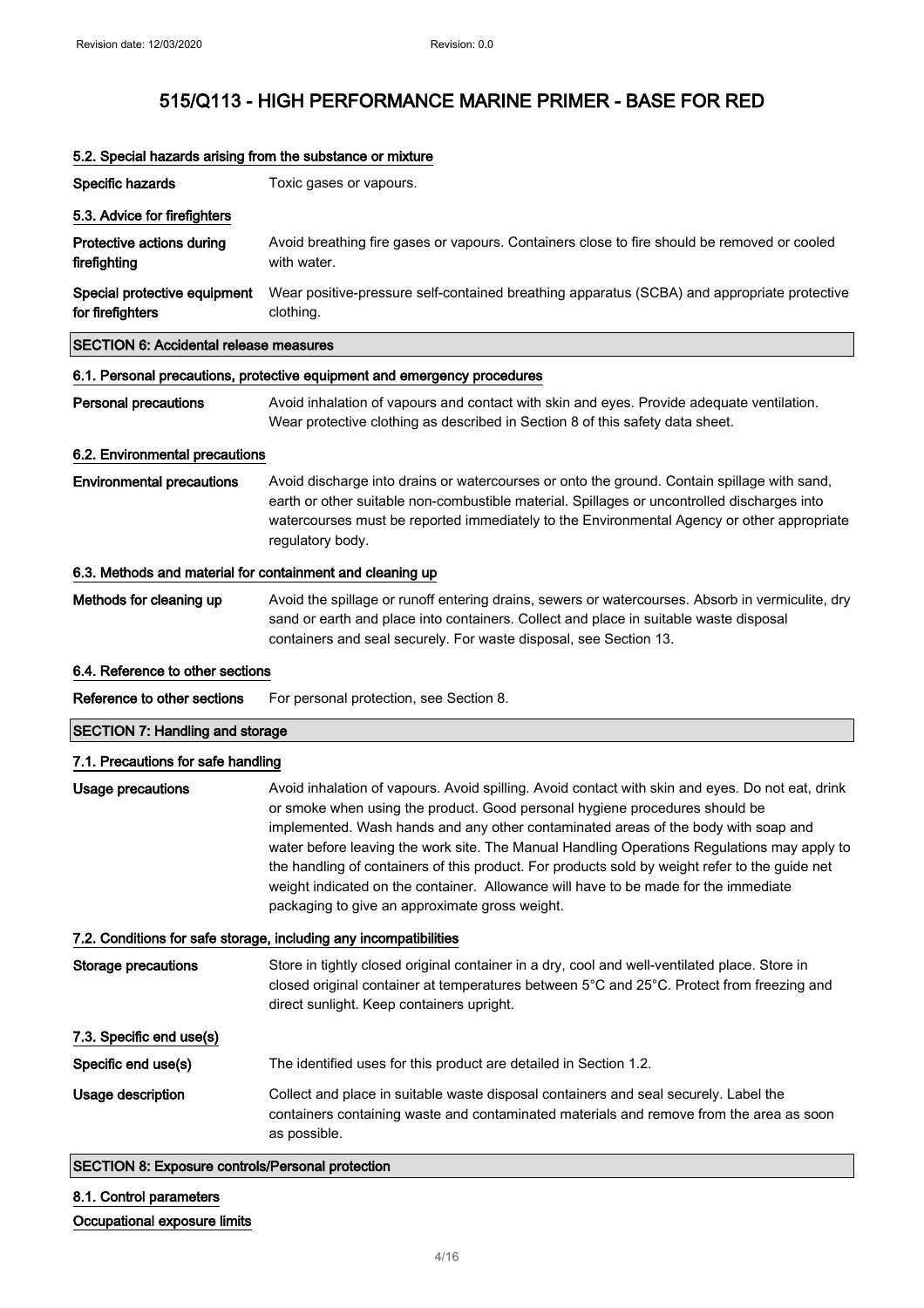| Specific hazards                                                  | Toxic gases or vapours.                                                                                                                                                                                                                                                                                                                                                                                                                                                                                                                                                                                         |  |
|-------------------------------------------------------------------|-----------------------------------------------------------------------------------------------------------------------------------------------------------------------------------------------------------------------------------------------------------------------------------------------------------------------------------------------------------------------------------------------------------------------------------------------------------------------------------------------------------------------------------------------------------------------------------------------------------------|--|
| 5.3. Advice for firefighters                                      |                                                                                                                                                                                                                                                                                                                                                                                                                                                                                                                                                                                                                 |  |
| Protective actions during<br>firefighting                         | Avoid breathing fire gases or vapours. Containers close to fire should be removed or cooled<br>with water.                                                                                                                                                                                                                                                                                                                                                                                                                                                                                                      |  |
| Special protective equipment<br>for firefighters                  | Wear positive-pressure self-contained breathing apparatus (SCBA) and appropriate protective<br>clothing.                                                                                                                                                                                                                                                                                                                                                                                                                                                                                                        |  |
| <b>SECTION 6: Accidental release measures</b>                     |                                                                                                                                                                                                                                                                                                                                                                                                                                                                                                                                                                                                                 |  |
|                                                                   | 6.1. Personal precautions, protective equipment and emergency procedures                                                                                                                                                                                                                                                                                                                                                                                                                                                                                                                                        |  |
| <b>Personal precautions</b>                                       | Avoid inhalation of vapours and contact with skin and eyes. Provide adequate ventilation.<br>Wear protective clothing as described in Section 8 of this safety data sheet.                                                                                                                                                                                                                                                                                                                                                                                                                                      |  |
| 6.2. Environmental precautions                                    |                                                                                                                                                                                                                                                                                                                                                                                                                                                                                                                                                                                                                 |  |
| <b>Environmental precautions</b>                                  | Avoid discharge into drains or watercourses or onto the ground. Contain spillage with sand,<br>earth or other suitable non-combustible material. Spillages or uncontrolled discharges into<br>watercourses must be reported immediately to the Environmental Agency or other appropriate<br>regulatory body.                                                                                                                                                                                                                                                                                                    |  |
| 6.3. Methods and material for containment and cleaning up         |                                                                                                                                                                                                                                                                                                                                                                                                                                                                                                                                                                                                                 |  |
| Methods for cleaning up                                           | Avoid the spillage or runoff entering drains, sewers or watercourses. Absorb in vermiculite, dry<br>sand or earth and place into containers. Collect and place in suitable waste disposal<br>containers and seal securely. For waste disposal, see Section 13.                                                                                                                                                                                                                                                                                                                                                  |  |
| 6.4. Reference to other sections                                  |                                                                                                                                                                                                                                                                                                                                                                                                                                                                                                                                                                                                                 |  |
| Reference to other sections                                       | For personal protection, see Section 8.                                                                                                                                                                                                                                                                                                                                                                                                                                                                                                                                                                         |  |
| <b>SECTION 7: Handling and storage</b>                            |                                                                                                                                                                                                                                                                                                                                                                                                                                                                                                                                                                                                                 |  |
| 7.1. Precautions for safe handling                                |                                                                                                                                                                                                                                                                                                                                                                                                                                                                                                                                                                                                                 |  |
| <b>Usage precautions</b>                                          | Avoid inhalation of vapours. Avoid spilling. Avoid contact with skin and eyes. Do not eat, drink<br>or smoke when using the product. Good personal hygiene procedures should be<br>implemented. Wash hands and any other contaminated areas of the body with soap and<br>water before leaving the work site. The Manual Handling Operations Regulations may apply to<br>the handling of containers of this product. For products sold by weight refer to the guide net<br>weight indicated on the container. Allowance will have to be made for the immediate<br>packaging to give an approximate gross weight. |  |
| 7.2. Conditions for safe storage, including any incompatibilities |                                                                                                                                                                                                                                                                                                                                                                                                                                                                                                                                                                                                                 |  |
| <b>Storage precautions</b>                                        | Store in tightly closed original container in a dry, cool and well-ventilated place. Store in<br>closed original container at temperatures between 5°C and 25°C. Protect from freezing and<br>direct sunlight. Keep containers upright.                                                                                                                                                                                                                                                                                                                                                                         |  |
| 7.3. Specific end use(s)                                          |                                                                                                                                                                                                                                                                                                                                                                                                                                                                                                                                                                                                                 |  |
| Specific end use(s)                                               | The identified uses for this product are detailed in Section 1.2.                                                                                                                                                                                                                                                                                                                                                                                                                                                                                                                                               |  |
| Usage description                                                 | Collect and place in suitable waste disposal containers and seal securely. Label the<br>containers containing waste and contaminated materials and remove from the area as soon<br>as possible.                                                                                                                                                                                                                                                                                                                                                                                                                 |  |
|                                                                   |                                                                                                                                                                                                                                                                                                                                                                                                                                                                                                                                                                                                                 |  |

### 5.2. Special hazards arising from the substance or mixture

SECTION 8: Exposure controls/Personal protection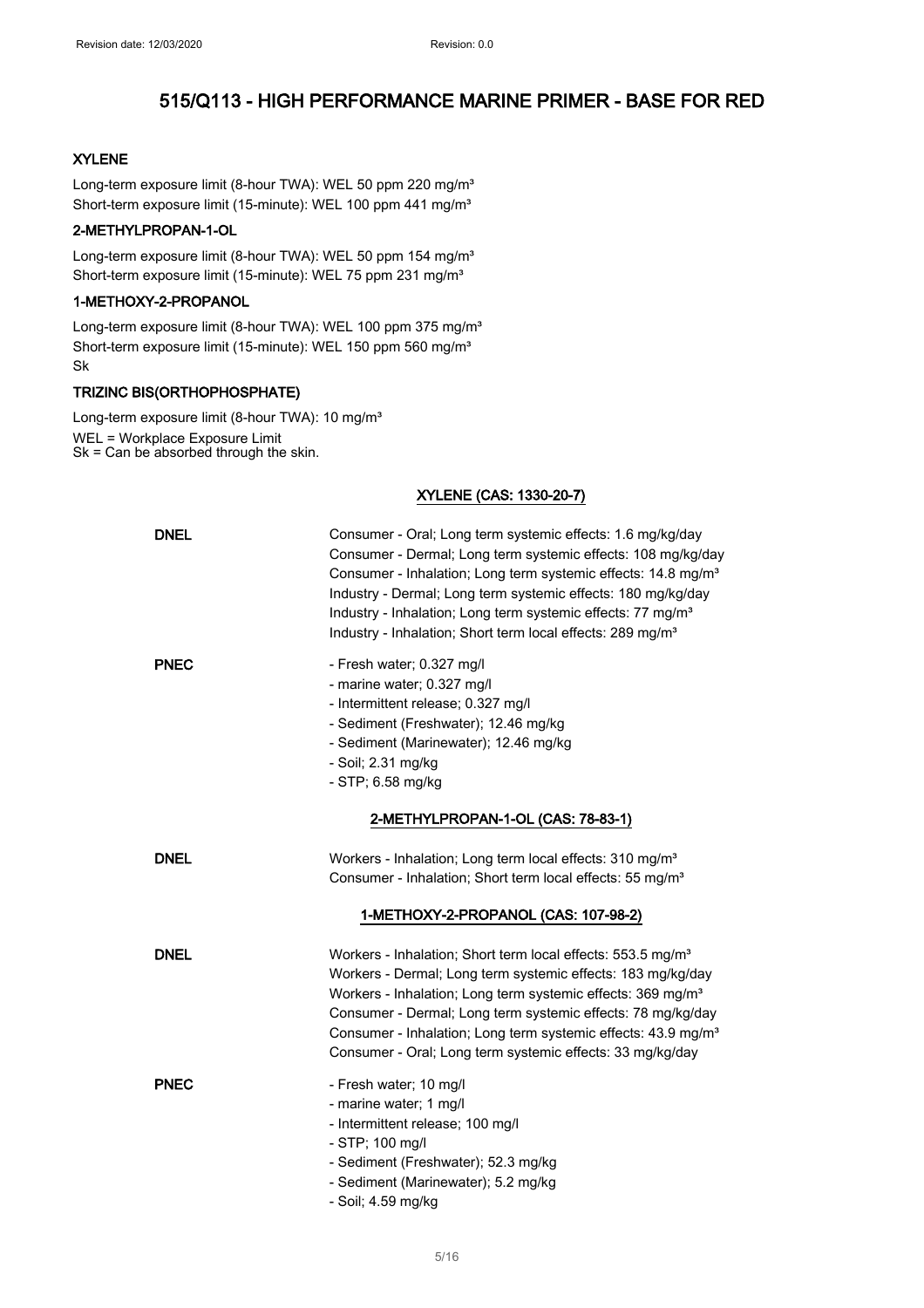### XYLENE

Long-term exposure limit (8-hour TWA): WEL 50 ppm 220 mg/m<sup>3</sup> Short-term exposure limit (15-minute): WEL 100 ppm 441 mg/m<sup>3</sup>

### 2-METHYLPROPAN-1-OL

Long-term exposure limit (8-hour TWA): WEL 50 ppm 154 mg/m<sup>3</sup> Short-term exposure limit (15-minute): WEL 75 ppm 231 mg/m<sup>3</sup>

#### 1-METHOXY-2-PROPANOL

Long-term exposure limit (8-hour TWA): WEL 100 ppm 375 mg/m<sup>3</sup> Short-term exposure limit (15-minute): WEL 150 ppm 560 mg/m<sup>3</sup> Sk

#### TRIZINC BIS(ORTHOPHOSPHATE)

Long-term exposure limit (8-hour TWA): 10 mg/m<sup>3</sup> WEL = Workplace Exposure Limit Sk = Can be absorbed through the skin.

### XYLENE (CAS: 1330-20-7)

| <b>DNEL</b> | Consumer - Oral; Long term systemic effects: 1.6 mg/kg/day<br>Consumer - Dermal; Long term systemic effects: 108 mg/kg/day<br>Consumer - Inhalation; Long term systemic effects: 14.8 mg/m <sup>3</sup><br>Industry - Dermal; Long term systemic effects: 180 mg/kg/day<br>Industry - Inhalation; Long term systemic effects: 77 mg/m <sup>3</sup><br>Industry - Inhalation; Short term local effects: 289 mg/m <sup>3</sup> |
|-------------|------------------------------------------------------------------------------------------------------------------------------------------------------------------------------------------------------------------------------------------------------------------------------------------------------------------------------------------------------------------------------------------------------------------------------|
| <b>PNEC</b> | - Fresh water; 0.327 mg/l<br>- marine water; 0.327 mg/l<br>- Intermittent release; 0.327 mg/l<br>- Sediment (Freshwater); 12.46 mg/kg<br>- Sediment (Marinewater); 12.46 mg/kg<br>- Soil; 2.31 mg/kg<br>- STP; 6.58 mg/kg                                                                                                                                                                                                    |
|             | 2-METHYLPROPAN-1-OL (CAS: 78-83-1)                                                                                                                                                                                                                                                                                                                                                                                           |
| <b>DNEL</b> | Workers - Inhalation; Long term local effects: 310 mg/m <sup>3</sup><br>Consumer - Inhalation; Short term local effects: 55 mg/m <sup>3</sup>                                                                                                                                                                                                                                                                                |
|             | 1-METHOXY-2-PROPANOL (CAS: 107-98-2)                                                                                                                                                                                                                                                                                                                                                                                         |
| <b>DNEL</b> | Workers - Inhalation; Short term local effects: 553.5 mg/m <sup>3</sup><br>Workers - Dermal; Long term systemic effects: 183 mg/kg/day<br>Workers - Inhalation; Long term systemic effects: 369 mg/m <sup>3</sup><br>Consumer - Dermal; Long term systemic effects: 78 mg/kg/day<br>Consumer - Inhalation; Long term systemic effects: 43.9 mg/m <sup>3</sup><br>Consumer - Oral; Long term systemic effects: 33 mg/kg/day   |
| <b>PNEC</b> | - Fresh water; 10 mg/l<br>- marine water; 1 mg/l<br>- Intermittent release; 100 mg/l<br>- STP; 100 mg/l<br>- Sediment (Freshwater); 52.3 mg/kg<br>- Sediment (Marinewater); 5.2 mg/kg<br>- Soil; 4.59 mg/kg                                                                                                                                                                                                                  |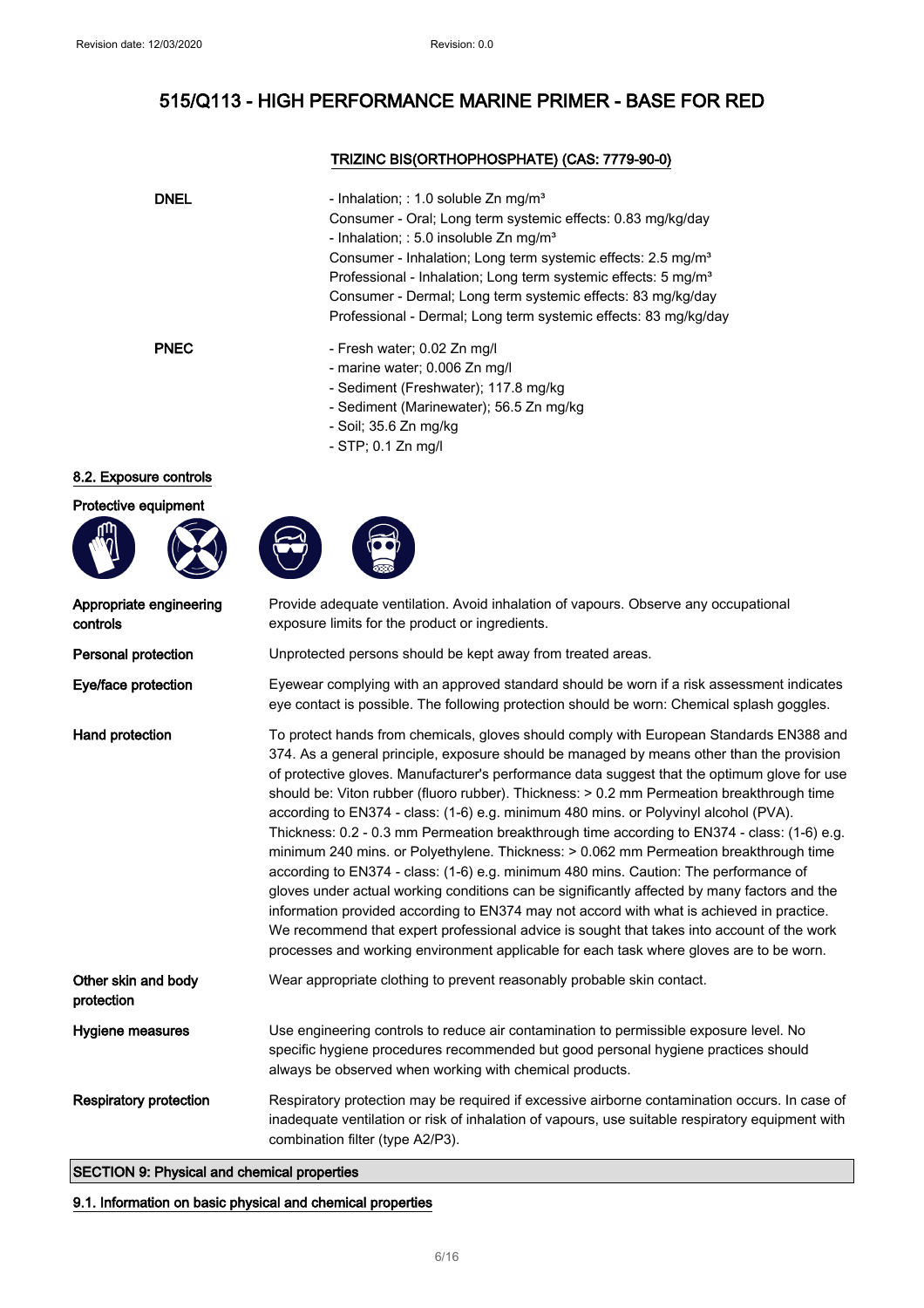### TRIZINC BIS(ORTHOPHOSPHATE) (CAS: 7779-90-0)

| <b>DNEL</b> | - Inhalation; : 1.0 soluble $Zn$ mg/m <sup>3</sup><br>Consumer - Oral; Long term systemic effects: 0.83 mg/kg/day<br>- Inhalation; : 5.0 insoluble $Zn$ mg/m <sup>3</sup><br>Consumer - Inhalation; Long term systemic effects: 2.5 mg/m <sup>3</sup><br>Professional - Inhalation; Long term systemic effects: 5 mg/m <sup>3</sup><br>Consumer - Dermal; Long term systemic effects: 83 mg/kg/day<br>Professional - Dermal; Long term systemic effects: 83 mg/kg/day |
|-------------|-----------------------------------------------------------------------------------------------------------------------------------------------------------------------------------------------------------------------------------------------------------------------------------------------------------------------------------------------------------------------------------------------------------------------------------------------------------------------|
| <b>PNEC</b> | - Fresh water; 0.02 Zn mg/l<br>- marine water; 0.006 Zn mg/l<br>- Sediment (Freshwater); 117.8 mg/kg<br>- Sediment (Marinewater); 56.5 Zn mg/kg<br>- Soil; 35.6 Zn mg/kg                                                                                                                                                                                                                                                                                              |

- STP; 0.1 Zn mg/l

### 8.2. Exposure controls

### Protective equipment







| Appropriate engineering<br>controls | Provide adequate ventilation. Avoid inhalation of vapours. Observe any occupational<br>exposure limits for the product or ingredients.                                                                                                                                                                                                                                                                                                                                                                                                                                                                                                                                                                                                                                                                                                                                                                                                                                                                                                                                                                                                          |
|-------------------------------------|-------------------------------------------------------------------------------------------------------------------------------------------------------------------------------------------------------------------------------------------------------------------------------------------------------------------------------------------------------------------------------------------------------------------------------------------------------------------------------------------------------------------------------------------------------------------------------------------------------------------------------------------------------------------------------------------------------------------------------------------------------------------------------------------------------------------------------------------------------------------------------------------------------------------------------------------------------------------------------------------------------------------------------------------------------------------------------------------------------------------------------------------------|
| Personal protection                 | Unprotected persons should be kept away from treated areas.                                                                                                                                                                                                                                                                                                                                                                                                                                                                                                                                                                                                                                                                                                                                                                                                                                                                                                                                                                                                                                                                                     |
| Eye/face protection                 | Eyewear complying with an approved standard should be worn if a risk assessment indicates<br>eye contact is possible. The following protection should be worn: Chemical splash goggles.                                                                                                                                                                                                                                                                                                                                                                                                                                                                                                                                                                                                                                                                                                                                                                                                                                                                                                                                                         |
| Hand protection                     | To protect hands from chemicals, gloves should comply with European Standards EN388 and<br>374. As a general principle, exposure should be managed by means other than the provision<br>of protective gloves. Manufacturer's performance data suggest that the optimum glove for use<br>should be: Viton rubber (fluoro rubber). Thickness: > 0.2 mm Permeation breakthrough time<br>according to EN374 - class: (1-6) e.g. minimum 480 mins. or Polyvinyl alcohol (PVA).<br>Thickness: 0.2 - 0.3 mm Permeation breakthrough time according to EN374 - class: (1-6) e.g.<br>minimum 240 mins. or Polyethylene. Thickness: > 0.062 mm Permeation breakthrough time<br>according to EN374 - class: (1-6) e.g. minimum 480 mins. Caution: The performance of<br>gloves under actual working conditions can be significantly affected by many factors and the<br>information provided according to EN374 may not accord with what is achieved in practice.<br>We recommend that expert professional advice is sought that takes into account of the work<br>processes and working environment applicable for each task where gloves are to be worn. |
| Other skin and body<br>protection   | Wear appropriate clothing to prevent reasonably probable skin contact.                                                                                                                                                                                                                                                                                                                                                                                                                                                                                                                                                                                                                                                                                                                                                                                                                                                                                                                                                                                                                                                                          |
| Hygiene measures                    | Use engineering controls to reduce air contamination to permissible exposure level. No<br>specific hygiene procedures recommended but good personal hygiene practices should<br>always be observed when working with chemical products.                                                                                                                                                                                                                                                                                                                                                                                                                                                                                                                                                                                                                                                                                                                                                                                                                                                                                                         |
| <b>Respiratory protection</b>       | Respiratory protection may be required if excessive airborne contamination occurs. In case of<br>inadequate ventilation or risk of inhalation of vapours, use suitable respiratory equipment with<br>combination filter (type A2/P3).                                                                                                                                                                                                                                                                                                                                                                                                                                                                                                                                                                                                                                                                                                                                                                                                                                                                                                           |
|                                     |                                                                                                                                                                                                                                                                                                                                                                                                                                                                                                                                                                                                                                                                                                                                                                                                                                                                                                                                                                                                                                                                                                                                                 |

### SECTION 9: Physical and chemical properties

### 9.1. Information on basic physical and chemical properties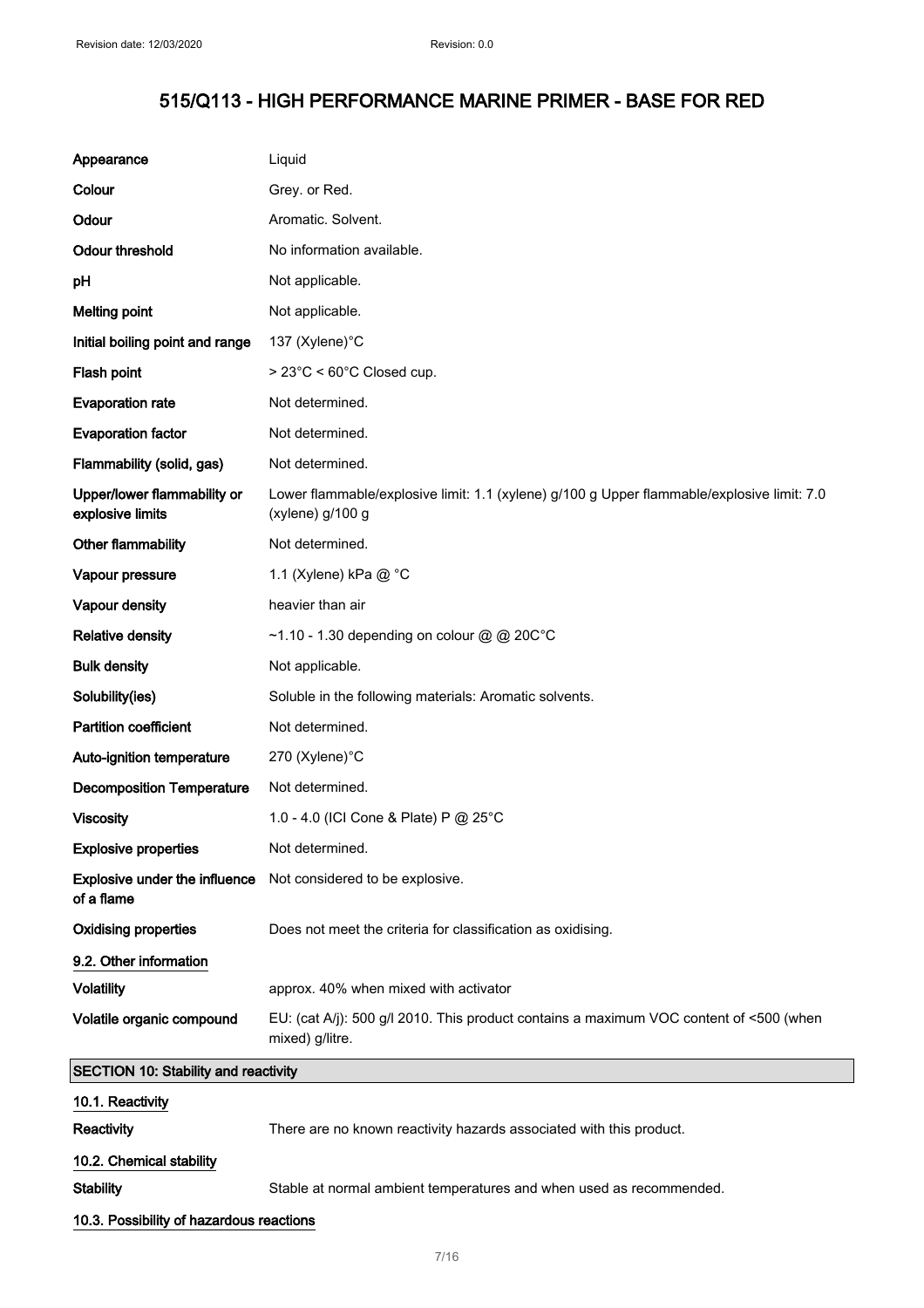| Appearance                                      | Liquid                                                                                                         |
|-------------------------------------------------|----------------------------------------------------------------------------------------------------------------|
| Colour                                          | Grey. or Red.                                                                                                  |
| Odour                                           | Aromatic. Solvent.                                                                                             |
| <b>Odour threshold</b>                          | No information available.                                                                                      |
| рH                                              | Not applicable.                                                                                                |
| <b>Melting point</b>                            | Not applicable.                                                                                                |
| Initial boiling point and range                 | 137 (Xylene)°C                                                                                                 |
| Flash point                                     | > 23°C < 60°C Closed cup.                                                                                      |
| <b>Evaporation rate</b>                         | Not determined.                                                                                                |
| <b>Evaporation factor</b>                       | Not determined.                                                                                                |
| Flammability (solid, gas)                       | Not determined.                                                                                                |
| Upper/lower flammability or<br>explosive limits | Lower flammable/explosive limit: 1.1 (xylene) g/100 g Upper flammable/explosive limit: 7.0<br>(xylene) g/100 g |
| Other flammability                              | Not determined.                                                                                                |
| Vapour pressure                                 | 1.1 (Xylene) kPa @ °C                                                                                          |
| Vapour density                                  | heavier than air                                                                                               |
| <b>Relative density</b>                         | ~1.10 - 1.30 depending on colour @ @ 20C°C                                                                     |
| <b>Bulk density</b>                             | Not applicable.                                                                                                |
| Solubility(ies)                                 | Soluble in the following materials: Aromatic solvents.                                                         |
| <b>Partition coefficient</b>                    | Not determined.                                                                                                |
| Auto-ignition temperature                       | 270 (Xylene)°C                                                                                                 |
| <b>Decomposition Temperature</b>                | Not determined.                                                                                                |
| <b>Viscosity</b>                                | 1.0 - 4.0 (ICI Cone & Plate) P @ 25°C                                                                          |
| <b>Explosive properties</b>                     | Not determined.                                                                                                |
| Explosive under the influence<br>of a flame     | Not considered to be explosive.                                                                                |
| <b>Oxidising properties</b>                     | Does not meet the criteria for classification as oxidising.                                                    |
| 9.2. Other information                          |                                                                                                                |
| <b>Volatility</b>                               | approx. 40% when mixed with activator                                                                          |
| Volatile organic compound                       | EU: (cat A/j): 500 g/l 2010. This product contains a maximum VOC content of <500 (when<br>mixed) g/litre.      |
| <b>SECTION 10: Stability and reactivity</b>     |                                                                                                                |
| 10.1. Reactivity                                |                                                                                                                |
| Reactivity                                      | There are no known reactivity hazards associated with this product.                                            |
| 10.2. Chemical stability                        |                                                                                                                |
| <b>Stability</b>                                | Stable at normal ambient temperatures and when used as recommended.                                            |
| 10.3. Possibility of hazardous reactions        |                                                                                                                |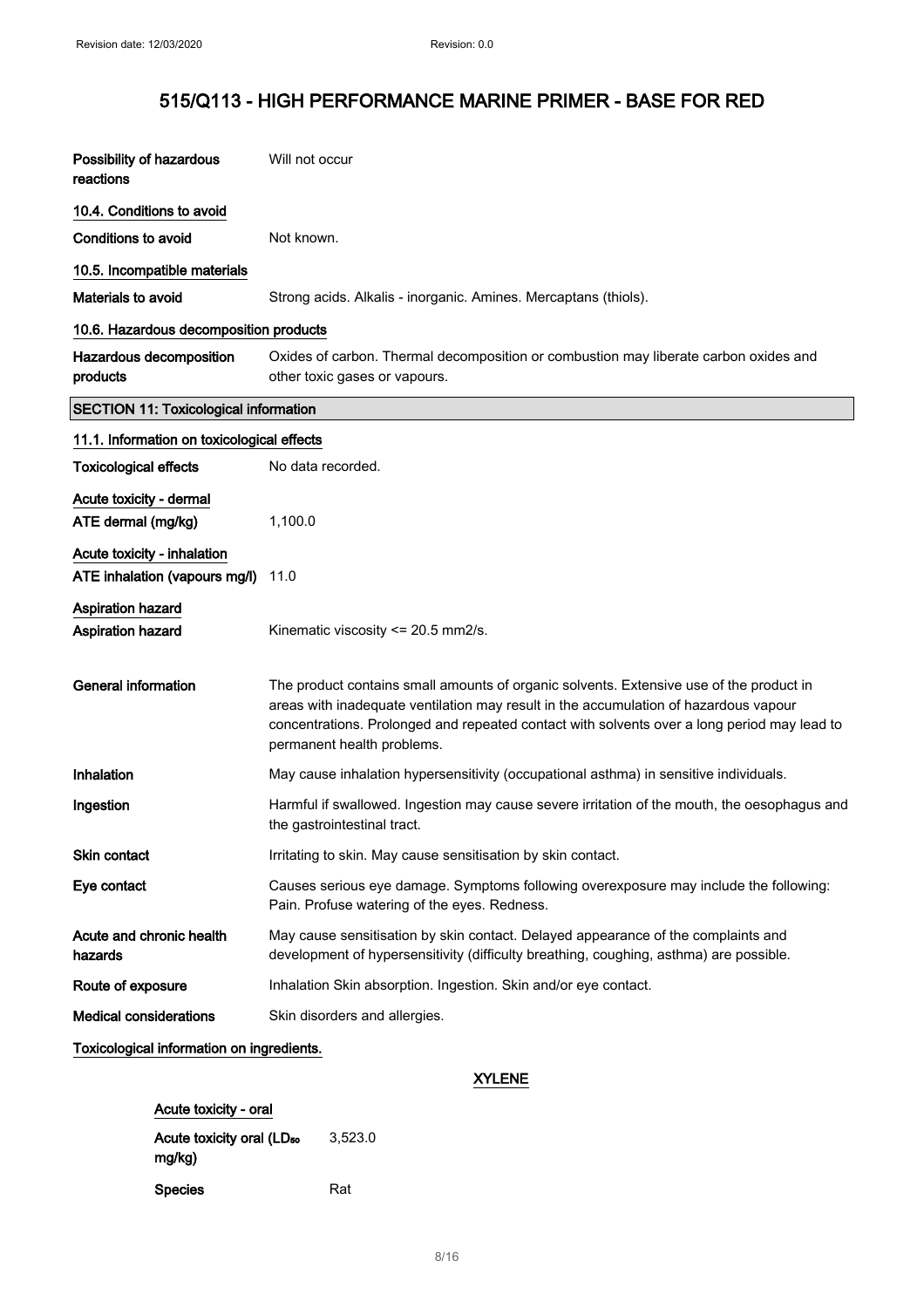| Possibility of hazardous<br>reactions                        | Will not occur                                                                                                                                                                                                                                                                                               |
|--------------------------------------------------------------|--------------------------------------------------------------------------------------------------------------------------------------------------------------------------------------------------------------------------------------------------------------------------------------------------------------|
| 10.4. Conditions to avoid                                    |                                                                                                                                                                                                                                                                                                              |
| <b>Conditions to avoid</b>                                   | Not known.                                                                                                                                                                                                                                                                                                   |
| 10.5. Incompatible materials                                 |                                                                                                                                                                                                                                                                                                              |
| Materials to avoid                                           | Strong acids. Alkalis - inorganic. Amines. Mercaptans (thiols).                                                                                                                                                                                                                                              |
| 10.6. Hazardous decomposition products                       |                                                                                                                                                                                                                                                                                                              |
| Hazardous decomposition<br>products                          | Oxides of carbon. Thermal decomposition or combustion may liberate carbon oxides and<br>other toxic gases or vapours.                                                                                                                                                                                        |
| <b>SECTION 11: Toxicological information</b>                 |                                                                                                                                                                                                                                                                                                              |
| 11.1. Information on toxicological effects                   |                                                                                                                                                                                                                                                                                                              |
| <b>Toxicological effects</b>                                 | No data recorded.                                                                                                                                                                                                                                                                                            |
| Acute toxicity - dermal<br>ATE dermal (mg/kg)                | 1,100.0                                                                                                                                                                                                                                                                                                      |
| Acute toxicity - inhalation<br>ATE inhalation (vapours mg/l) | 11.0                                                                                                                                                                                                                                                                                                         |
| <b>Aspiration hazard</b><br>Aspiration hazard                | Kinematic viscosity <= 20.5 mm2/s.                                                                                                                                                                                                                                                                           |
| <b>General information</b>                                   | The product contains small amounts of organic solvents. Extensive use of the product in<br>areas with inadequate ventilation may result in the accumulation of hazardous vapour<br>concentrations. Prolonged and repeated contact with solvents over a long period may lead to<br>permanent health problems. |
| Inhalation                                                   | May cause inhalation hypersensitivity (occupational asthma) in sensitive individuals.                                                                                                                                                                                                                        |
| Ingestion                                                    | Harmful if swallowed. Ingestion may cause severe irritation of the mouth, the oesophagus and<br>the gastrointestinal tract.                                                                                                                                                                                  |
| Skin contact                                                 | Irritating to skin. May cause sensitisation by skin contact.                                                                                                                                                                                                                                                 |
| Eye contact                                                  | Causes serious eye damage. Symptoms following overexposure may include the following:<br>Pain. Profuse watering of the eyes. Redness.                                                                                                                                                                        |
| Acute and chronic health<br>hazards                          | May cause sensitisation by skin contact. Delayed appearance of the complaints and<br>development of hypersensitivity (difficulty breathing, coughing, asthma) are possible.                                                                                                                                  |
| Route of exposure                                            | Inhalation Skin absorption. Ingestion. Skin and/or eye contact.                                                                                                                                                                                                                                              |
| <b>Medical considerations</b>                                | Skin disorders and allergies.                                                                                                                                                                                                                                                                                |
| Toxicological information on ingredients.                    |                                                                                                                                                                                                                                                                                                              |

#### XYLENE

| Acute toxicity - oral                 |         |  |
|---------------------------------------|---------|--|
| Acute toxicity oral (LD <sub>50</sub> | 3,523.0 |  |
| mg/kg)                                |         |  |
| Species                               | Rat     |  |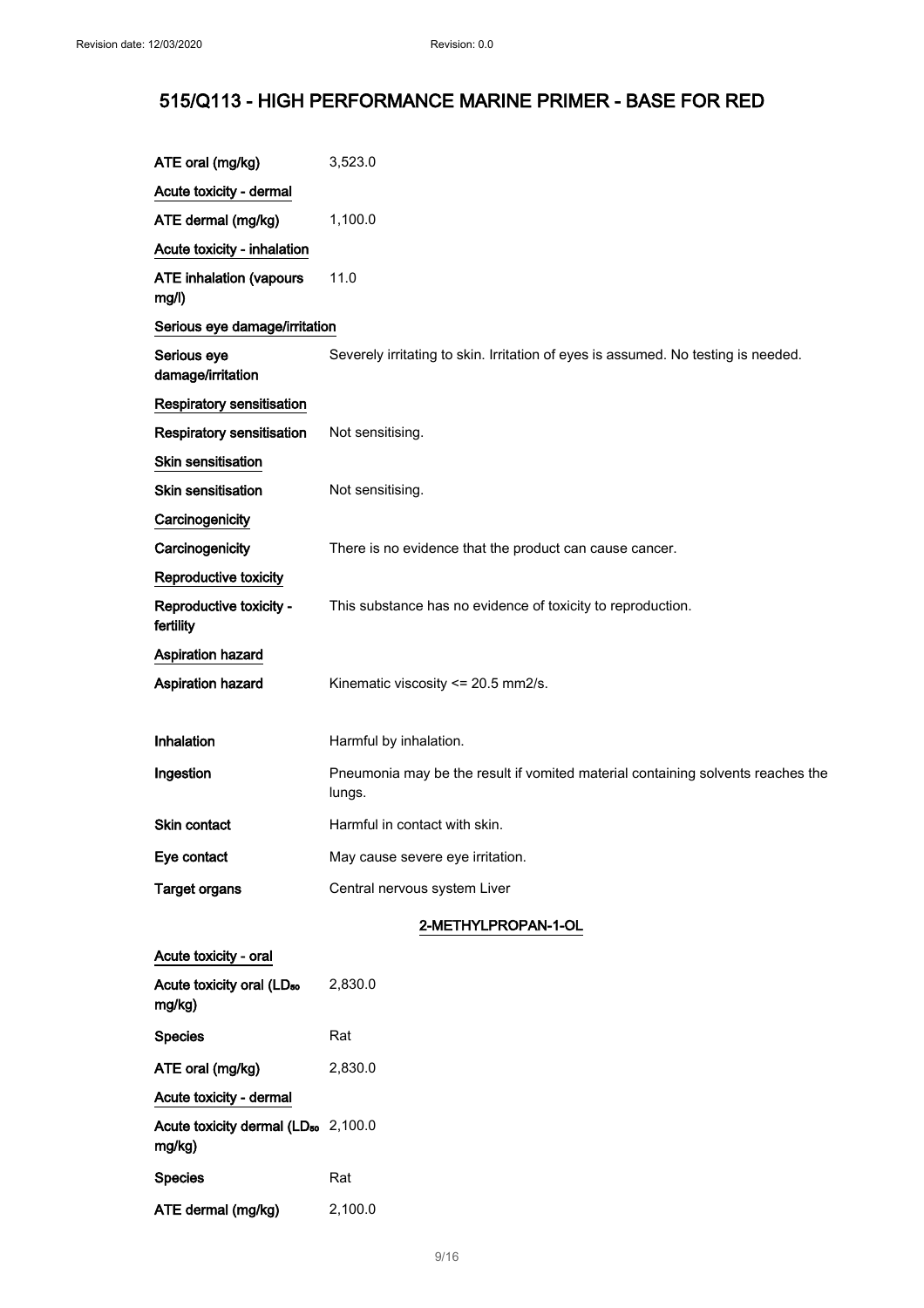| ATE oral (mg/kg)                                          | 3,523.0                                                                                   |
|-----------------------------------------------------------|-------------------------------------------------------------------------------------------|
| Acute toxicity - dermal                                   |                                                                                           |
| ATE dermal (mg/kg)                                        | 1,100.0                                                                                   |
| Acute toxicity - inhalation                               |                                                                                           |
| <b>ATE inhalation (vapours</b><br>mg/l)                   | 11.0                                                                                      |
| Serious eye damage/irritation                             |                                                                                           |
| Serious eye<br>damage/irritation                          | Severely irritating to skin. Irritation of eyes is assumed. No testing is needed.         |
| Respiratory sensitisation                                 |                                                                                           |
| Respiratory sensitisation                                 | Not sensitising.                                                                          |
| Skin sensitisation                                        |                                                                                           |
| <b>Skin sensitisation</b>                                 | Not sensitising.                                                                          |
| Carcinogenicity                                           |                                                                                           |
| Carcinogenicity                                           | There is no evidence that the product can cause cancer.                                   |
| Reproductive toxicity                                     |                                                                                           |
| Reproductive toxicity -<br>fertility                      | This substance has no evidence of toxicity to reproduction.                               |
| Aspiration hazard                                         |                                                                                           |
| Aspiration hazard                                         | Kinematic viscosity <= 20.5 mm2/s.                                                        |
|                                                           |                                                                                           |
| Inhalation                                                | Harmful by inhalation.                                                                    |
| Ingestion                                                 | Pneumonia may be the result if vomited material containing solvents reaches the<br>lungs. |
| Skin contact                                              | Harmful in contact with skin.                                                             |
| Eye contact                                               | May cause severe eye irritation.                                                          |
| <b>Target organs</b>                                      | Central nervous system Liver                                                              |
|                                                           | 2-METHYLPROPAN-1-OL                                                                       |
| Acute toxicity - oral                                     |                                                                                           |
| Acute toxicity oral (LD <sub>50</sub><br>mg/kg)           | 2,830.0                                                                                   |
| <b>Species</b>                                            | Rat                                                                                       |
| ATE oral (mg/kg)                                          | 2,830.0                                                                                   |
| Acute toxicity - dermal                                   |                                                                                           |
| Acute toxicity dermal (LD <sub>50</sub> 2,100.0<br>mg/kg) |                                                                                           |
| <b>Species</b>                                            | Rat                                                                                       |
| ATE dermal (mg/kg)                                        | 2,100.0                                                                                   |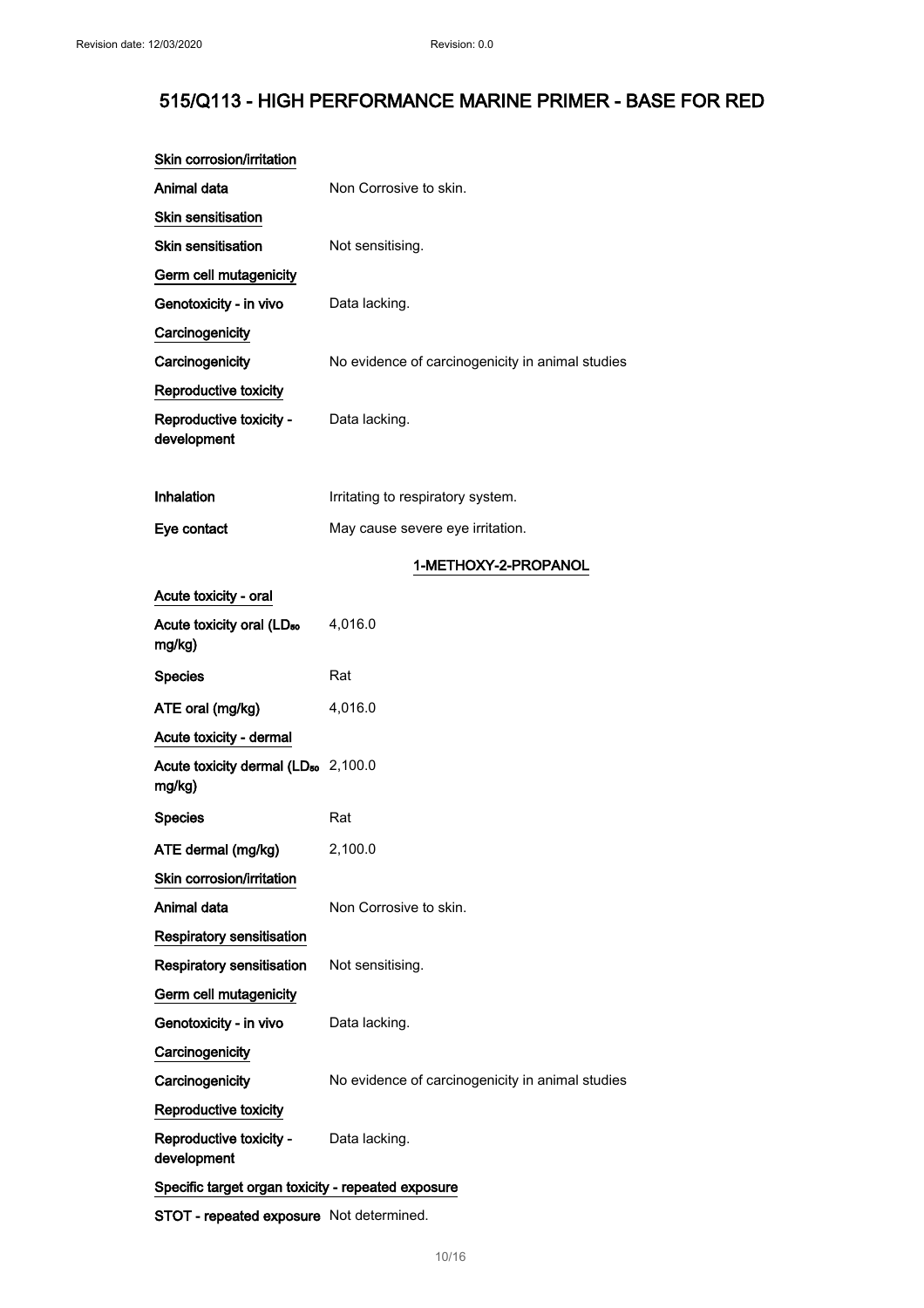| Skin corrosion/irritation                                 |                                                  |  |
|-----------------------------------------------------------|--------------------------------------------------|--|
| Animal data                                               | Non Corrosive to skin.                           |  |
| Skin sensitisation                                        |                                                  |  |
| <b>Skin sensitisation</b>                                 | Not sensitising.                                 |  |
| Germ cell mutagenicity                                    |                                                  |  |
| Genotoxicity - in vivo                                    | Data lacking.                                    |  |
| Carcinogenicity                                           |                                                  |  |
| Carcinogenicity                                           | No evidence of carcinogenicity in animal studies |  |
| Reproductive toxicity                                     |                                                  |  |
| Reproductive toxicity -<br>development                    | Data lacking.                                    |  |
| <b>Inhalation</b>                                         | Irritating to respiratory system.                |  |
| Eye contact                                               | May cause severe eye irritation.                 |  |
|                                                           | 1-METHOXY-2-PROPANOL                             |  |
| Acute toxicity - oral                                     |                                                  |  |
| Acute toxicity oral (LD <sub>50</sub><br>mg/kg)           | 4,016.0                                          |  |
| <b>Species</b>                                            | Rat                                              |  |
| ATE oral (mg/kg)                                          | 4,016.0                                          |  |
| Acute toxicity - dermal                                   |                                                  |  |
| Acute toxicity dermal (LD <sub>50</sub> 2,100.0<br>mg/kg) |                                                  |  |
| <b>Species</b>                                            | Rat                                              |  |
| ATE dermal (mg/kg)                                        | 2,100.0                                          |  |
| Skin corrosion/irritation                                 |                                                  |  |
| Animal data                                               | Non Corrosive to skin.                           |  |
| <b>Respiratory sensitisation</b>                          |                                                  |  |
| Respiratory sensitisation                                 | Not sensitising.                                 |  |
| Germ cell mutagenicity                                    |                                                  |  |
| Genotoxicity - in vivo                                    | Data lacking.                                    |  |
| Carcinogenicity                                           |                                                  |  |
| Carcinogenicity                                           | No evidence of carcinogenicity in animal studies |  |
| Reproductive toxicity                                     |                                                  |  |
| Reproductive toxicity -<br>development                    | Data lacking.                                    |  |
| Specific target organ toxicity - repeated exposure        |                                                  |  |

STOT - repeated exposure Not determined.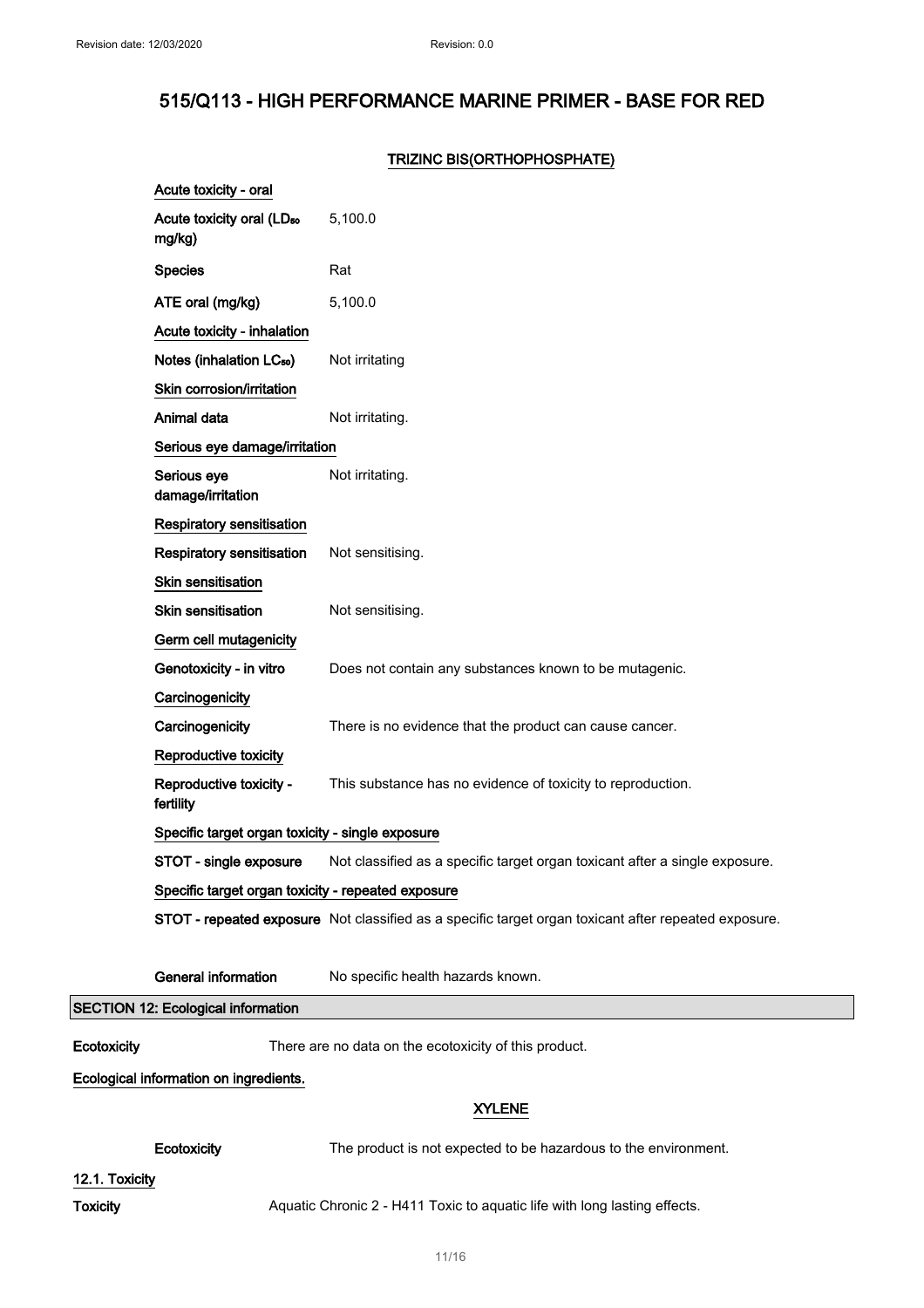### TRIZINC BIS(ORTHOPHOSPHATE)

|                                        | Acute toxicity - oral                              |                                                                                                      |  |
|----------------------------------------|----------------------------------------------------|------------------------------------------------------------------------------------------------------|--|
|                                        | Acute toxicity oral (LD <sub>50</sub><br>mg/kg)    | 5,100.0                                                                                              |  |
|                                        | <b>Species</b>                                     | Rat                                                                                                  |  |
|                                        | ATE oral (mg/kg)                                   | 5,100.0                                                                                              |  |
|                                        | Acute toxicity - inhalation                        |                                                                                                      |  |
|                                        | Notes (inhalation LC <sub>50</sub> )               | Not irritating                                                                                       |  |
|                                        | Skin corrosion/irritation                          |                                                                                                      |  |
|                                        | Animal data                                        | Not irritating.                                                                                      |  |
|                                        | Serious eye damage/irritation                      |                                                                                                      |  |
|                                        | Serious eye<br>damage/irritation                   | Not irritating.                                                                                      |  |
|                                        | <b>Respiratory sensitisation</b>                   |                                                                                                      |  |
|                                        | Respiratory sensitisation                          | Not sensitising.                                                                                     |  |
|                                        | <b>Skin sensitisation</b>                          |                                                                                                      |  |
|                                        | <b>Skin sensitisation</b>                          | Not sensitising.                                                                                     |  |
|                                        | Germ cell mutagenicity                             |                                                                                                      |  |
|                                        | Genotoxicity - in vitro                            | Does not contain any substances known to be mutagenic.                                               |  |
|                                        | Carcinogenicity                                    |                                                                                                      |  |
|                                        | Carcinogenicity                                    | There is no evidence that the product can cause cancer.                                              |  |
|                                        | Reproductive toxicity                              |                                                                                                      |  |
|                                        | Reproductive toxicity -<br>fertility               | This substance has no evidence of toxicity to reproduction.                                          |  |
|                                        | Specific target organ toxicity - single exposure   |                                                                                                      |  |
|                                        | STOT - single exposure                             | Not classified as a specific target organ toxicant after a single exposure.                          |  |
|                                        | Specific target organ toxicity - repeated exposure |                                                                                                      |  |
|                                        |                                                    | STOT - repeated exposure Not classified as a specific target organ toxicant after repeated exposure. |  |
|                                        | <b>General information</b>                         | No specific health hazards known.                                                                    |  |
|                                        | <b>SECTION 12: Ecological information</b>          |                                                                                                      |  |
| Ecotoxicity                            |                                                    | There are no data on the ecotoxicity of this product.                                                |  |
| Ecological information on ingredients. |                                                    |                                                                                                      |  |
|                                        |                                                    | <b>XYLENE</b>                                                                                        |  |
|                                        | Ecotoxicity                                        | The product is not expected to be hazardous to the environment.                                      |  |
| 12.1. Toxicity                         |                                                    |                                                                                                      |  |
| <b>Toxicity</b>                        |                                                    | Aquatic Chronic 2 - H411 Toxic to aquatic life with long lasting effects.                            |  |

 $\mathbb{R}^n$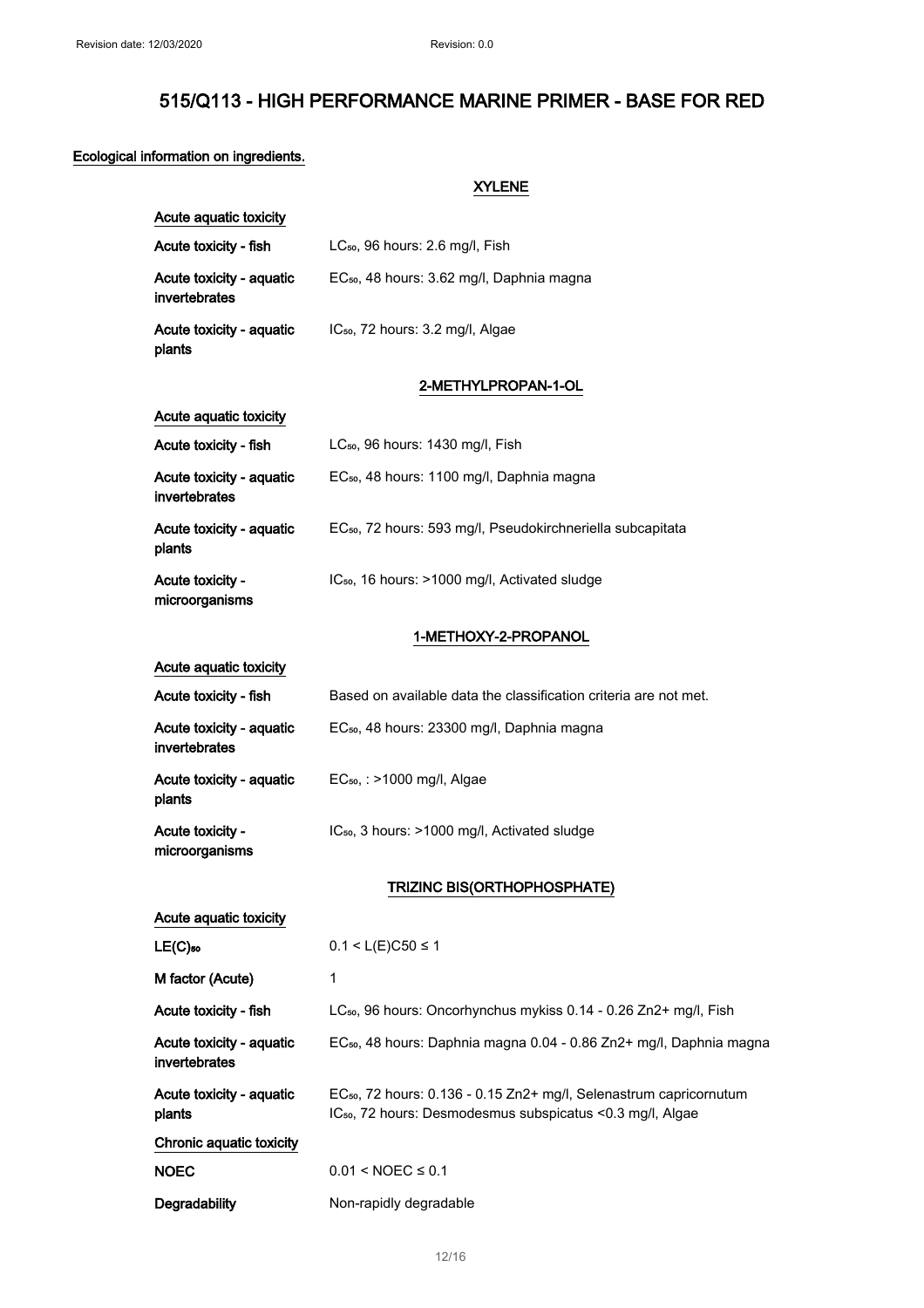## Ecological information on ingredients.

XYLENE

| Acute aquatic toxicity                    |                                                                                                                                                          |
|-------------------------------------------|----------------------------------------------------------------------------------------------------------------------------------------------------------|
| Acute toxicity - fish                     | LC <sub>50</sub> , 96 hours: 2.6 mg/l, Fish                                                                                                              |
| Acute toxicity - aquatic<br>invertebrates | EC <sub>50</sub> , 48 hours: 3.62 mg/l, Daphnia magna                                                                                                    |
| Acute toxicity - aquatic<br>plants        | IC <sub>50</sub> , 72 hours: 3.2 mg/l, Algae                                                                                                             |
|                                           | 2-METHYLPROPAN-1-OL                                                                                                                                      |
| Acute aquatic toxicity                    |                                                                                                                                                          |
| Acute toxicity - fish                     | $LC_{50}$ , 96 hours: 1430 mg/l, Fish                                                                                                                    |
| Acute toxicity - aquatic<br>invertebrates | EC <sub>50</sub> , 48 hours: 1100 mg/l, Daphnia magna                                                                                                    |
| Acute toxicity - aquatic<br>plants        | EC <sub>50</sub> , 72 hours: 593 mg/l, Pseudokirchneriella subcapitata                                                                                   |
| Acute toxicity -<br>microorganisms        | IC <sub>50</sub> , 16 hours: >1000 mg/l, Activated sludge                                                                                                |
|                                           | 1-METHOXY-2-PROPANOL                                                                                                                                     |
| Acute aquatic toxicity                    |                                                                                                                                                          |
| Acute toxicity - fish                     | Based on available data the classification criteria are not met.                                                                                         |
| Acute toxicity - aquatic<br>invertebrates | EC <sub>50</sub> , 48 hours: 23300 mg/l, Daphnia magna                                                                                                   |
| Acute toxicity - aquatic<br>plants        | EC <sub>50</sub> , : >1000 mg/l, Algae                                                                                                                   |
| Acute toxicity -<br>microorganisms        | IC <sub>50</sub> , 3 hours: >1000 mg/l, Activated sludge                                                                                                 |
|                                           | TRIZINC BIS(ORTHOPHOSPHATE)                                                                                                                              |
| Acute aquatic toxicity                    |                                                                                                                                                          |
| $LE(C)$ <sub>50</sub>                     | $0.1 < L(E)$ C50 ≤ 1                                                                                                                                     |
| M factor (Acute)                          | 1                                                                                                                                                        |
| Acute toxicity - fish                     | LC <sub>50</sub> , 96 hours: Oncorhynchus mykiss 0.14 - 0.26 Zn2+ mg/l, Fish                                                                             |
| Acute toxicity - aquatic<br>invertebrates | EC <sub>50</sub> , 48 hours: Daphnia magna 0.04 - 0.86 Zn2+ mg/l, Daphnia magna                                                                          |
| Acute toxicity - aquatic<br>plants        | EC <sub>50</sub> , 72 hours: 0.136 - 0.15 Zn2+ mg/l, Selenastrum capricornutum<br>IC <sub>50</sub> , 72 hours: Desmodesmus subspicatus < 0.3 mg/l, Algae |
| Chronic aquatic toxicity                  |                                                                                                                                                          |
| <b>NOEC</b>                               | $0.01 <$ NOEC $\leq 0.1$                                                                                                                                 |
| Degradability                             | Non-rapidly degradable                                                                                                                                   |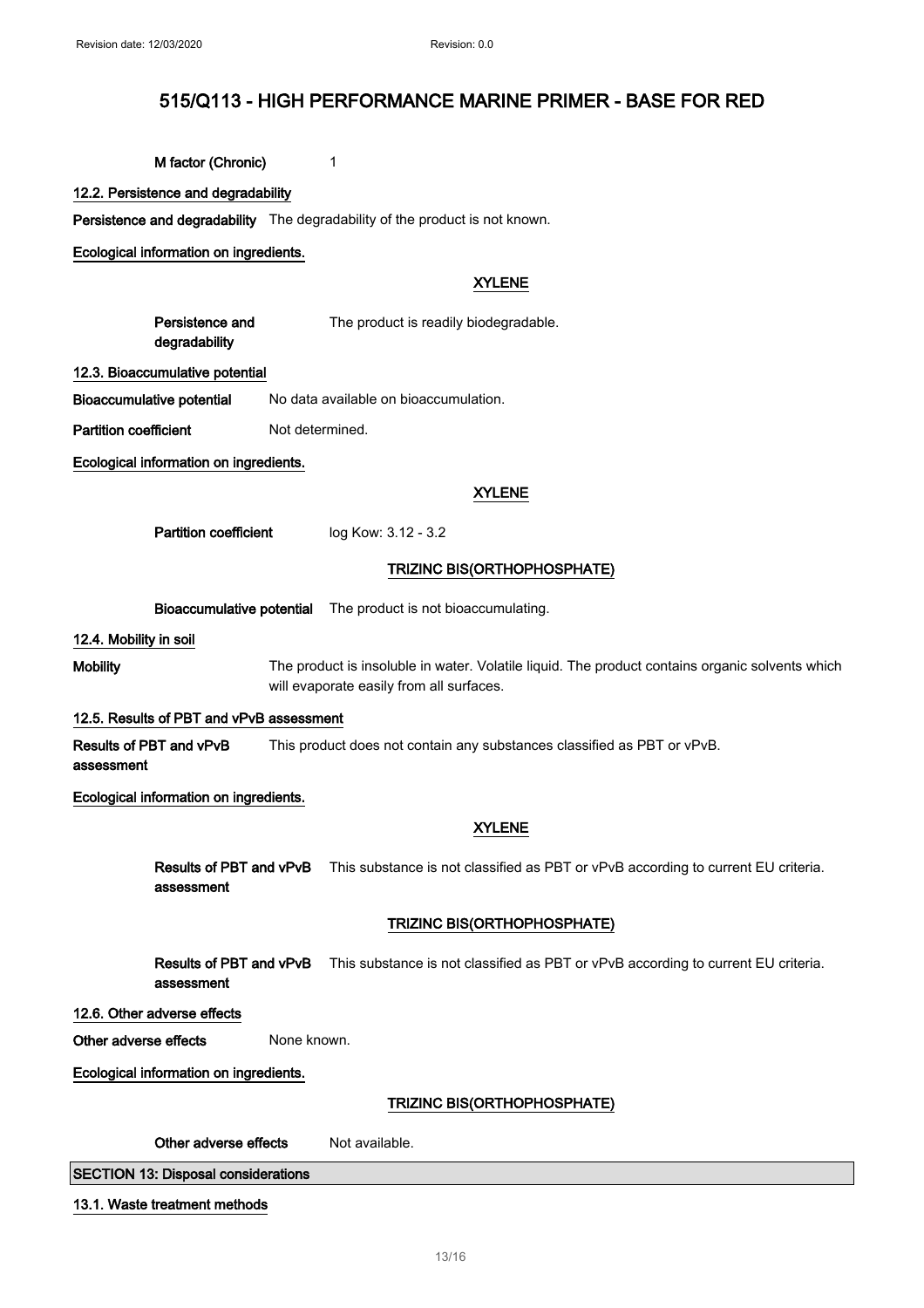M factor (Chronic) 1

12.2. Persistence and degradability

Persistence and degradability The degradability of the product is not known.

Ecological information on ingredients.

#### XYLENE

Persistence and degradability The product is readily biodegradable.

#### 12.3. Bioaccumulative potential

Bioaccumulative potential No data available on bioaccumulation.

Partition coefficient Not determined.

Ecological information on ingredients.

#### XYLENE

Partition coefficient log Kow: 3.12 - 3.2

## TRIZINC BIS(ORTHOPHOSPHATE)

Bioaccumulative potential The product is not bioaccumulating.

12.4. Mobility in soil

Mobility The product is insoluble in water. Volatile liquid. The product contains organic solvents which will evaporate easily from all surfaces.

#### 12.5. Results of PBT and vPvB assessment

Results of PBT and vPvB assessment This product does not contain any substances classified as PBT or vPvB.

Ecological information on ingredients.

#### XYLENE

Results of PBT and vPvB assessment This substance is not classified as PBT or vPvB according to current EU criteria.

#### TRIZINC BIS(ORTHOPHOSPHATE)

Results of PBT and vPvB assessment This substance is not classified as PBT or vPvB according to current EU criteria.

#### 12.6. Other adverse effects

Other adverse effects None known.

Ecological information on ingredients.

#### TRIZINC BIS(ORTHOPHOSPHATE)

| Other adverse effects<br>Not available. |
|-----------------------------------------|
|-----------------------------------------|

SECTION 13: Disposal considerations

#### 13.1. Waste treatment methods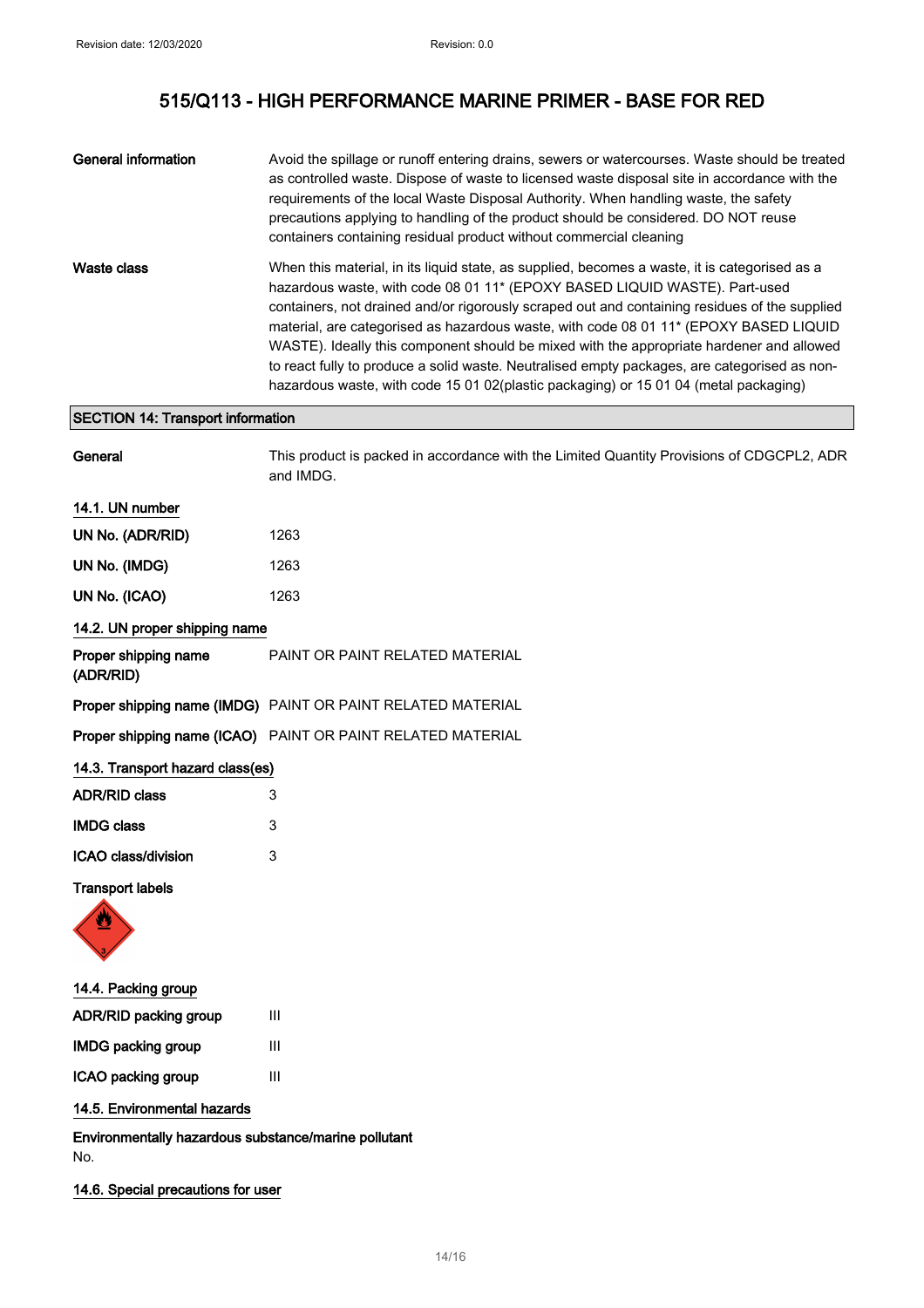| General information | Avoid the spillage or runoff entering drains, sewers or watercourses. Waste should be treated<br>as controlled waste. Dispose of waste to licensed waste disposal site in accordance with the<br>requirements of the local Waste Disposal Authority. When handling waste, the safety<br>precautions applying to handling of the product should be considered. DO NOT reuse<br>containers containing residual product without commercial cleaning                                                                                                                                                                                                                      |
|---------------------|-----------------------------------------------------------------------------------------------------------------------------------------------------------------------------------------------------------------------------------------------------------------------------------------------------------------------------------------------------------------------------------------------------------------------------------------------------------------------------------------------------------------------------------------------------------------------------------------------------------------------------------------------------------------------|
| Waste class         | When this material, in its liquid state, as supplied, becomes a waste, it is categorised as a<br>hazardous waste, with code 08 01 11* (EPOXY BASED LIQUID WASTE). Part-used<br>containers, not drained and/or rigorously scraped out and containing residues of the supplied<br>material, are categorised as hazardous waste, with code 08 01 11 <sup>*</sup> (EPOXY BASED LIQUID<br>WASTE). Ideally this component should be mixed with the appropriate hardener and allowed<br>to react fully to produce a solid waste. Neutralised empty packages, are categorised as non-<br>hazardous waste, with code 15 01 02(plastic packaging) or 15 01 04 (metal packaging) |

### SECTION 14: Transport information

| General                           | This product is packed in accordance with the Limited Quantity Provisions of CDGCPL2, ADR<br>and IMDG. |
|-----------------------------------|--------------------------------------------------------------------------------------------------------|
| 14.1. UN number                   |                                                                                                        |
| UN No. (ADR/RID)                  | 1263                                                                                                   |
| UN No. (IMDG)                     | 1263                                                                                                   |
| UN No. (ICAO)                     | 1263                                                                                                   |
| 14.2. UN proper shipping name     |                                                                                                        |
| Proper shipping name<br>(ADR/RID) | PAINT OR PAINT RELATED MATERIAL                                                                        |
|                                   | Proper shipping name (IMDG) PAINT OR PAINT RELATED MATERIAL                                            |
|                                   | Proper shipping name (ICAO) PAINT OR PAINT RELATED MATERIAL                                            |
| 14.3. Transport hazard class(es)  |                                                                                                        |
| <b>ADR/RID class</b>              | 3                                                                                                      |
| <b>IMDG class</b>                 | 3                                                                                                      |
| ICAO class/division               | 3                                                                                                      |
| <b>Transport labels</b>           |                                                                                                        |
| W                                 |                                                                                                        |
| 14.4. Packing group               |                                                                                                        |
| ADR/RID packing group             | $\mathbf{III}$                                                                                         |
| <b>IMDG packing group</b>         | $\ensuremath{\mathsf{III}}\xspace$                                                                     |
| ICAO packing group                | III                                                                                                    |
| 14.5. Environmental hazards       |                                                                                                        |

Environmentally hazardous substance/marine pollutant No.

14.6. Special precautions for user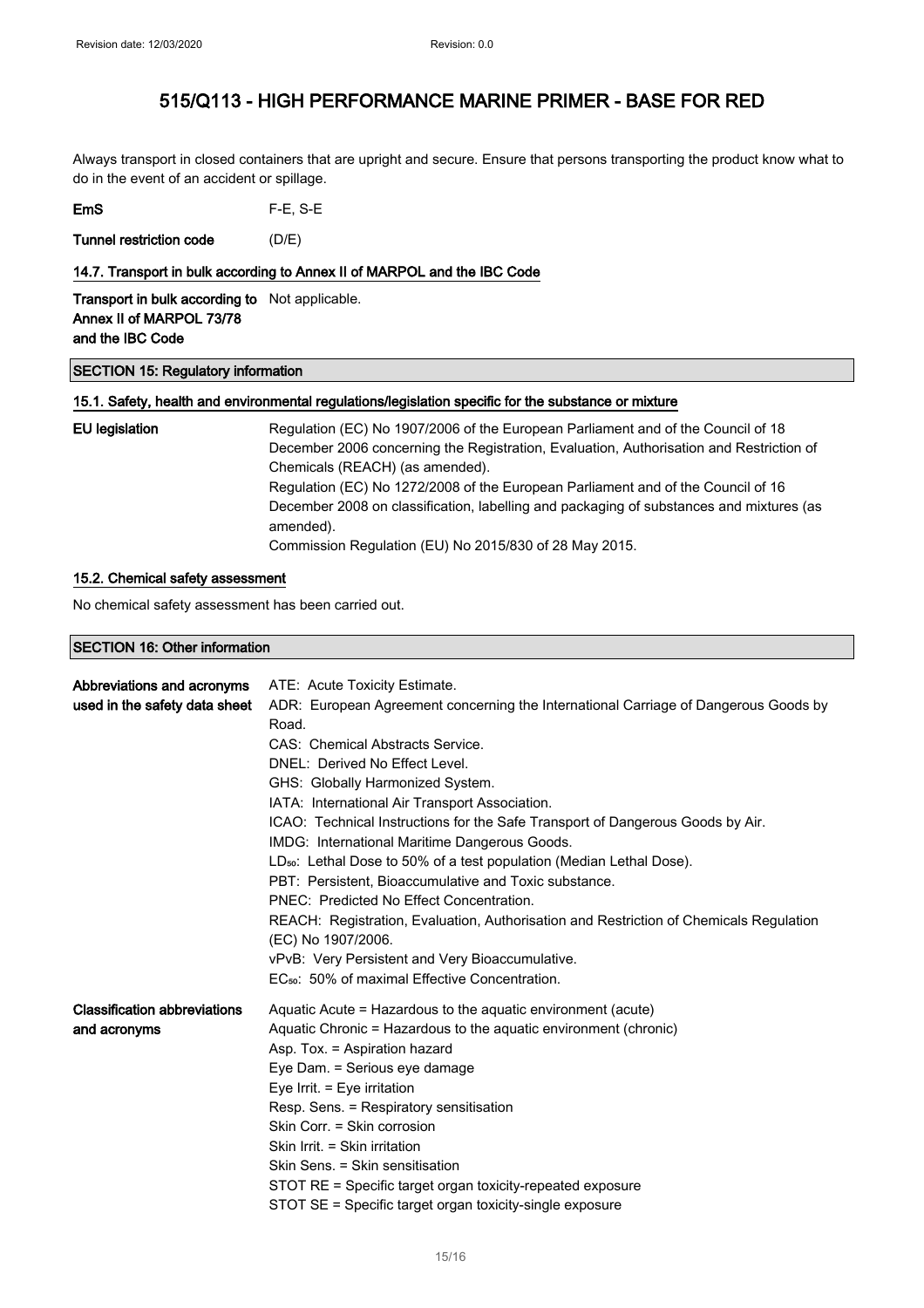Always transport in closed containers that are upright and secure. Ensure that persons transporting the product know what to do in the event of an accident or spillage.

| EmS | $F-E$ , S-E |
|-----|-------------|
|-----|-------------|

Tunnel restriction code (D/E)

#### 14.7. Transport in bulk according to Annex II of MARPOL and the IBC Code

Transport in bulk according to Not applicable. Annex II of MARPOL 73/78 and the IBC Code

### SECTION 15: Regulatory information

#### 15.1. Safety, health and environmental regulations/legislation specific for the substance or mixture

| EU legislation | Regulation (EC) No 1907/2006 of the European Parliament and of the Council of 18                     |
|----------------|------------------------------------------------------------------------------------------------------|
|                | December 2006 concerning the Registration, Evaluation, Authorisation and Restriction of              |
|                | Chemicals (REACH) (as amended).                                                                      |
|                | Regulation (EC) No 1272/2008 of the European Parliament and of the Council of 16                     |
|                | December 2008 on classification, labelling and packaging of substances and mixtures (as<br>amended). |
|                | Commission Regulation (EU) No 2015/830 of 28 May 2015.                                               |

#### 15.2. Chemical safety assessment

No chemical safety assessment has been carried out.

SECTION 16: Other information

| Abbreviations and acronyms<br>used in the safety data sheet | ATE: Acute Toxicity Estimate.<br>ADR: European Agreement concerning the International Carriage of Dangerous Goods by<br>Road.<br>CAS: Chemical Abstracts Service.<br>DNEL: Derived No Effect Level.<br>GHS: Globally Harmonized System.<br>IATA: International Air Transport Association.<br>ICAO: Technical Instructions for the Safe Transport of Dangerous Goods by Air.<br>IMDG: International Maritime Dangerous Goods.<br>LD <sub>50</sub> : Lethal Dose to 50% of a test population (Median Lethal Dose).<br>PBT: Persistent. Bioaccumulative and Toxic substance.<br>PNEC: Predicted No Effect Concentration.<br>REACH: Registration, Evaluation, Authorisation and Restriction of Chemicals Regulation<br>(EC) No 1907/2006.<br>vPvB: Very Persistent and Very Bioaccumulative.<br>EC <sub>50</sub> : 50% of maximal Effective Concentration. |
|-------------------------------------------------------------|--------------------------------------------------------------------------------------------------------------------------------------------------------------------------------------------------------------------------------------------------------------------------------------------------------------------------------------------------------------------------------------------------------------------------------------------------------------------------------------------------------------------------------------------------------------------------------------------------------------------------------------------------------------------------------------------------------------------------------------------------------------------------------------------------------------------------------------------------------|
| <b>Classification abbreviations</b><br>and acronyms         | Aquatic Acute = Hazardous to the aquatic environment (acute)<br>Aquatic Chronic = Hazardous to the aquatic environment (chronic)<br>Asp. Tox. = Aspiration hazard<br>Eye Dam. = Serious eye damage<br>Eye Irrit. $=$ Eye irritation<br>Resp. Sens. = Respiratory sensitisation<br>Skin Corr. = Skin corrosion<br>Skin Irrit. = Skin irritation<br>Skin Sens. = Skin sensitisation<br>STOT RE = Specific target organ toxicity-repeated exposure<br>STOT SE = Specific target organ toxicity-single exposure                                                                                                                                                                                                                                                                                                                                            |